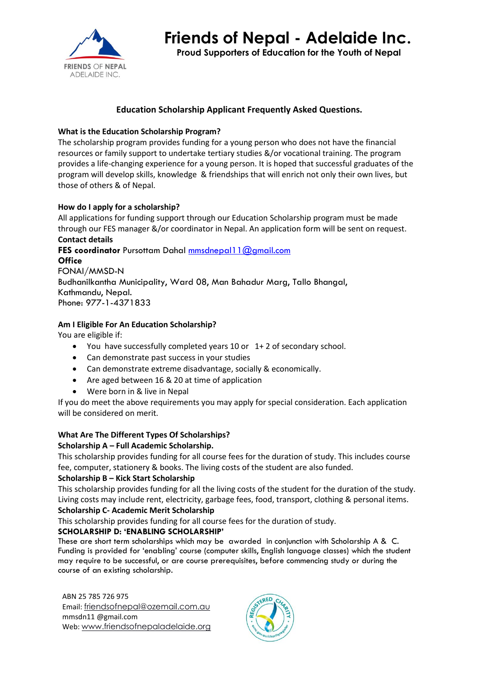

**Proud Supporters of Education for the Youth of Nepal**

# **Education Scholarship Applicant Frequently Asked Questions.**

# **What is the Education Scholarship Program?**

The scholarship program provides funding for a young person who does not have the financial resources or family support to undertake tertiary studies &/or vocational training. The program provides a life-changing experience for a young person. It is hoped that successful graduates of the program will develop skills, knowledge & friendships that will enrich not only their own lives, but those of others & of Nepal.

# **How do I apply for a scholarship?**

All applications for funding support through our Education Scholarship program must be made through our FES manager &/or coordinator in Nepal. An application form will be sent on request. **Contact details**

**FES coordinator** Pursottam Dahal [mmsdnepal11@gmail.com](mailto:mmsdnepal11@gmail.com) **Office** FONAI/MMSD-N Budhanilkantha Municipality, Ward 08, Man Bahadur Marg, Tallo Bhangal, Kathmandu, Nepal. Phone: 977-1-4371833

# **Am I Eligible For An Education Scholarship?**

You are eligible if:

- You have successfully completed years 10 or 1+ 2 of secondary school.
- Can demonstrate past success in your studies
- Can demonstrate extreme disadvantage, socially & economically.
- Are aged between 16 & 20 at time of application
- Were born in & live in Nepal

If you do meet the above requirements you may apply for special consideration. Each application will be considered on merit.

# **What Are The Different Types Of Scholarships?**

## **Scholarship A – Full Academic Scholarship.**

This scholarship provides funding for all course fees for the duration of study. This includes course fee, computer, stationery & books. The living costs of the student are also funded.

## **Scholarship B – Kick Start Scholarship**

This scholarship provides funding for all the living costs of the student for the duration of the study. Living costs may include rent, electricity, garbage fees, food, transport, clothing & personal items. **Scholarship C- Academic Merit Scholarship** 

This scholarship provides funding for all course fees for the duration of study.

## **SCHOLARSHIP D: 'ENABLING SCHOLARSHIP'**

These are short term scholarships which may be awarded in conjunction with Scholarship A & C. Funding is provided for 'enabling' course (computer skills, English language classes) which the student may require to be successful, or are course prerequisites, before commencing study or during the course of an existing scholarship.

ABN 25 785 726 975 Email: [friendsofnepal@ozemail.com.au](mailto:friendsofnepal@ozemail.com.au) mmsdn11 @gmail.com Web: [www.friendsofnepaladelaide.org](http://www.friendsofnepaladelaide.org/)